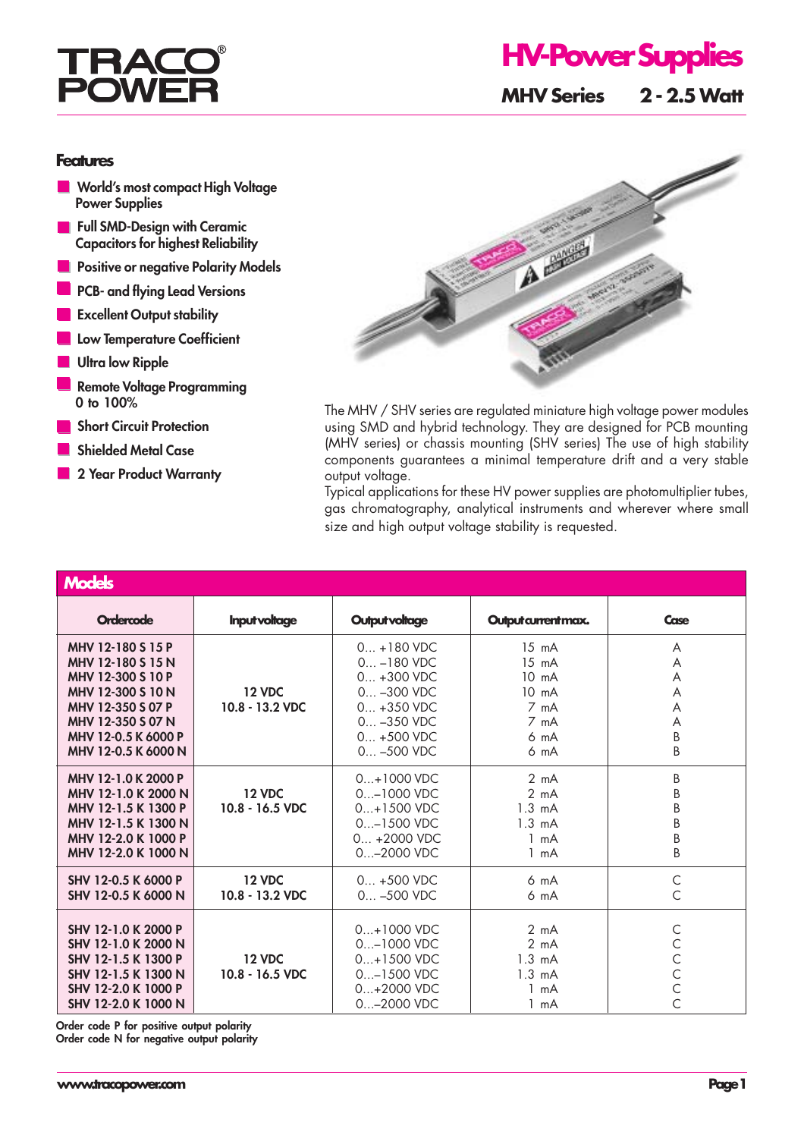

## **Features**

- **World's most compact High Voltage Power Supplies**
- **Full SMD-Design with Ceramic Capacitors for highest Reliability**
- **Positive or negative Polarity Models**
- **PCB- and flying Lead Versions**
- **Excellent Output stability**
- **Low Temperature Coefficient**
- **Ultra low Ripple**
- **Remote Voltage Programming 0 to 100%**
- **Short Circuit Protection**
- **Shielded Metal Case**
- **2 Year Product Warranty**



The MHV / SHV series are regulated miniature high voltage power modules using SMD and hybrid technology. They are designed for PCB mounting (MHV series) or chassis mounting (SHV series) The use of high stability components guarantees a minimal temperature drift and a very stable output voltage.

Typical applications for these HV power supplies are photomultiplier tubes, gas chromatography, analytical instruments and wherever where small size and high output voltage stability is requested.

| <b>Models</b>                                                                                                                                                            |                                  |                                                                                                                                      |                                                                                                              |                                                  |  |  |
|--------------------------------------------------------------------------------------------------------------------------------------------------------------------------|----------------------------------|--------------------------------------------------------------------------------------------------------------------------------------|--------------------------------------------------------------------------------------------------------------|--------------------------------------------------|--|--|
| <b>Ordercode</b>                                                                                                                                                         | <b>Input voltage</b>             | <b>Output voltage</b>                                                                                                                | Output current max.                                                                                          | Case                                             |  |  |
| MHV 12-180 S 15 P<br>MHV 12-180 S 15 N<br>MHV 12-300 S 10 P<br>MHV 12-300 S 10 N<br>MHV 12-350 S 07 P<br>MHV 12-350 S 07 N<br>MHV 12-0.5 K 6000 P<br>MHV 12-0.5 K 6000 N | <b>12 VDC</b><br>10.8 - 13.2 VDC | $0 + 180$ VDC<br>$0_{-}$ –180 VDC<br>$0 + 300$ VDC<br>$0 -300$ VDC<br>$0 + 350$ VDC<br>$0 -350$ VDC<br>$0 + 500$ VDC<br>$0 -500$ VDC | $15 \text{ mA}$<br>$15 \text{ mA}$<br>$10 \text{ mA}$<br>$10 \text{ mA}$<br>7 mA<br>7 mA<br>6 mA<br>6 mA     | A<br>A<br>A<br>A<br>A<br>A<br>B<br>B             |  |  |
| MHV 12-1.0 K 2000 P<br>MHV 12-1.0 K 2000 N<br>MHV 12-1.5 K 1300 P<br>MHV 12-1.5 K 1300 N<br>MHV 12-2.0 K 1000 P<br>MHV 12-2.0 K 1000 N                                   | <b>12 VDC</b><br>10.8 - 16.5 VDC | $0+1000$ VDC<br>$0$ -1000 VDC<br>$0+1500$ VDC<br>$0$ -1500 VDC<br>$0 + 2000$ VDC<br>$0 - 2000$ VDC                                   | $2 \text{ mA}$<br>2 mA<br>$1.3 \text{ mA}$<br>$1.3 \text{ mA}$<br>$1 \text{ mA}$<br>$1 \text{ mA}$           | B<br>B<br>B<br>B<br>B<br>B                       |  |  |
| SHV 12-0.5 K 6000 P<br>SHV 12-0.5 K 6000 N                                                                                                                               | <b>12 VDC</b><br>10.8 - 13.2 VDC | $0 + 500$ VDC<br>$0 -500$ VDC                                                                                                        | $6 \text{ mA}$<br>6 mA                                                                                       | C<br>$\overline{C}$                              |  |  |
| SHV 12-1.0 K 2000 P<br>SHV 12-1.0 K 2000 N<br>SHV 12-1.5 K 1300 P<br>SHV 12-1.5 K 1300 N<br>SHV 12-2.0 K 1000 P<br>SHV 12-2.0 K 1000 N                                   | <b>12 VDC</b><br>10.8 - 16.5 VDC | $0+1000$ VDC<br>0-1000 VDC<br>$0+1500$ VDC<br>$0$ -1500 VDC<br>$0+2000$ VDC<br>$0 - 2000$ VDC                                        | $2 \text{ mA}$<br>$2 \text{ mA}$<br>$1.3 \text{ mA}$<br>$1.3 \text{ mA}$<br>$1 \text{ mA}$<br>$1 \text{ mA}$ | С<br>C<br>C<br>$\mathsf{C}$<br>$\mathsf{C}$<br>Ċ |  |  |

**Order code P for positive output polarity Order code N for negative output polarity**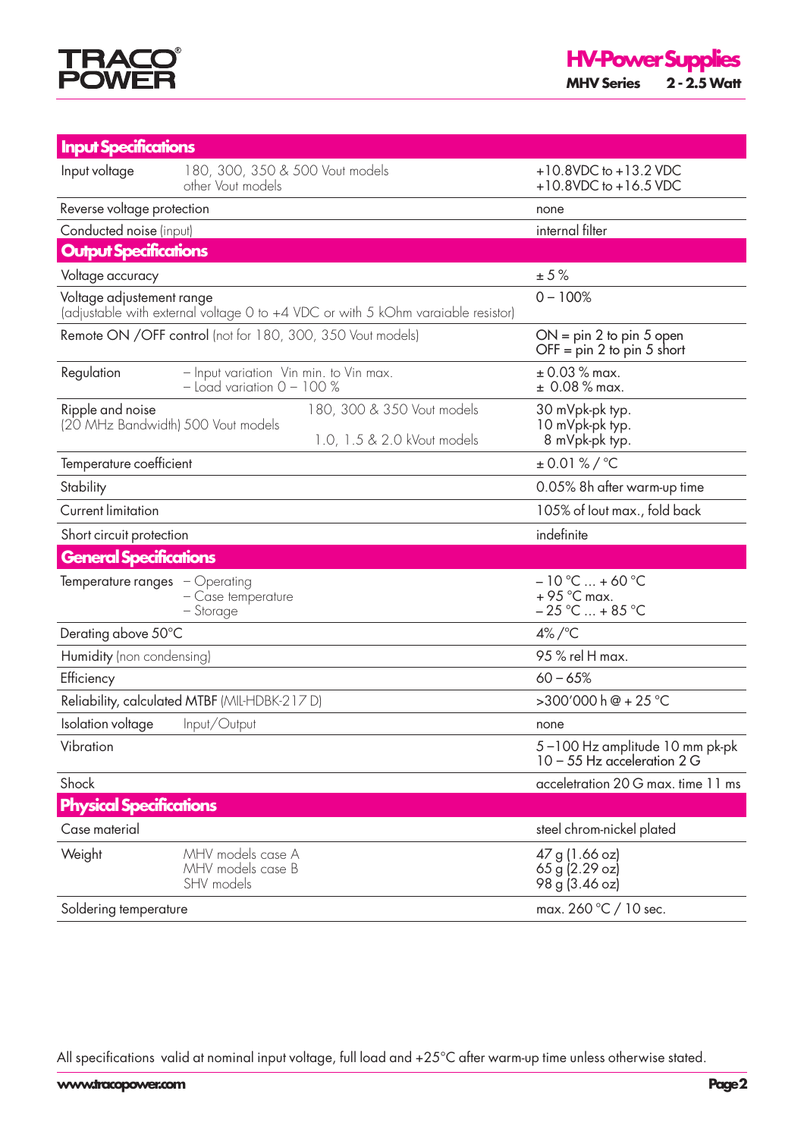

| <b>Input Specifications</b>                                                                                   |                                                                          |                                                                 |  |
|---------------------------------------------------------------------------------------------------------------|--------------------------------------------------------------------------|-----------------------------------------------------------------|--|
| Input voltage                                                                                                 | 180, 300, 350 & 500 Vout models<br>other Vout models                     | $+10.8$ VDC to $+13.2$ VDC<br>+10.8VDC to +16.5 VDC             |  |
| Reverse voltage protection                                                                                    |                                                                          | none                                                            |  |
| Conducted noise (input)                                                                                       |                                                                          | internal filter                                                 |  |
| <b>Output Specifications</b>                                                                                  |                                                                          |                                                                 |  |
| Voltage accuracy                                                                                              |                                                                          | ± 5%                                                            |  |
| Voltage adjustement range<br>(adjustable with external voltage 0 to +4 VDC or with 5 kOhm varaiable resistor) |                                                                          | $0 - 100%$                                                      |  |
| Remote ON / OFF control (not for 180, 300, 350 Vout models)                                                   |                                                                          | $ON = pin 2 to pin 5 open$<br>OFF = $pin 2$ to $pin 5$ short    |  |
| Regulation                                                                                                    | - Input variation Vin min. to Vin max.<br>$-$ Load variation $0 - 100$ % | $± 0.03 %$ max.<br>$± 0.08 %$ max.                              |  |
| Ripple and noise                                                                                              | 180, 300 & 350 Vout models                                               | 30 mVpk-pk typ.                                                 |  |
| (20 MHz Bandwidth) 500 Vout models                                                                            | 1.0, 1.5 & 2.0 kVout models                                              | 10 mVpk-pk typ.<br>8 mVpk-pk typ.                               |  |
| Temperature coefficient                                                                                       |                                                                          | $± 0.01 %$ /°C                                                  |  |
| Stability                                                                                                     |                                                                          | 0.05% 8h after warm-up time                                     |  |
| <b>Current limitation</b>                                                                                     |                                                                          | 105% of lout max., fold back                                    |  |
| Short circuit protection                                                                                      |                                                                          | indefinite                                                      |  |
| <b>General Specifications</b>                                                                                 |                                                                          |                                                                 |  |
| <b>Temperature ranges</b> $-\text{Operating}$                                                                 | - Case temperature<br>– Storage                                          | $-10 °C  + 60 °C$<br>$+95$ °C max.<br>$-25$ °C  + 85 °C         |  |
| Derating above 50°C                                                                                           |                                                                          | $4\%$ /°C                                                       |  |
| Humidity (non condensing)                                                                                     |                                                                          | 95 % rel H max.                                                 |  |
| Efficiency                                                                                                    |                                                                          | $60 - 65%$                                                      |  |
| Reliability, calculated MTBF (MIL-HDBK-217D)                                                                  |                                                                          | $>300'000 h@ + 25°C$                                            |  |
| Isolation voltage                                                                                             | Input/Output                                                             | none                                                            |  |
| Vibration                                                                                                     |                                                                          |                                                                 |  |
|                                                                                                               |                                                                          | 5-100 Hz amplitude 10 mm pk-pk<br>$10 - 55$ Hz acceleration 2 G |  |
| Shock                                                                                                         |                                                                          | acceletration 20 G max. time 11 ms                              |  |
| <b>Physical Specifications</b>                                                                                |                                                                          |                                                                 |  |
| Case material                                                                                                 |                                                                          | steel chrom-nickel plated                                       |  |
| Weight                                                                                                        | MHV models case A<br>MHV models case B<br>SHV models                     | 47 g (1.66 oz)<br>65 g (2.29 oz)<br>98 g (3.46 oz)              |  |

All specifications valid at nominal input voltage, full load and +25°C after warm-up time unless otherwise stated.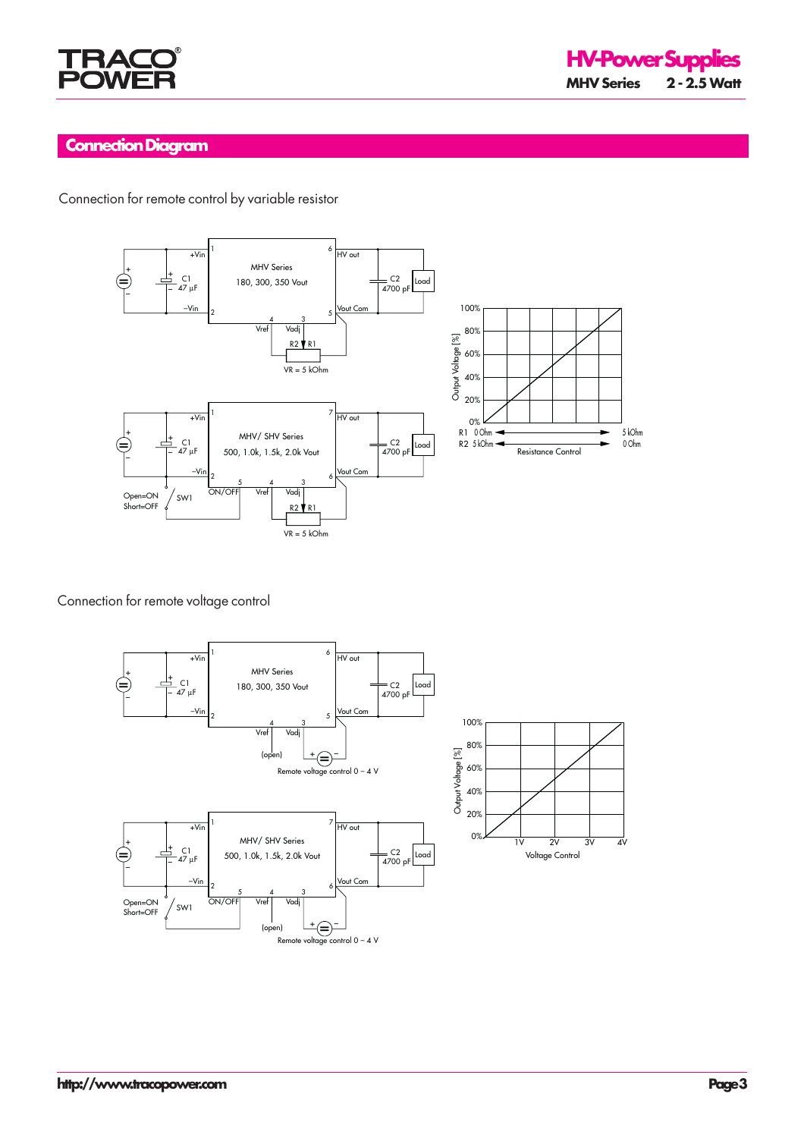

## **Connection Diagram**

Connection for remote control by variable resistor



Connection for remote voltage control